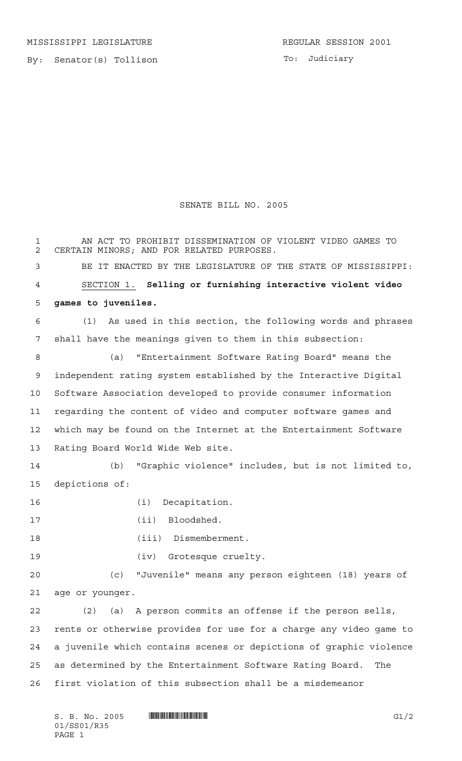MISSISSIPPI LEGISLATURE **REGULAR SESSION 2001** 

By: Senator(s) Tollison

## SENATE BILL NO. 2005

 AN ACT TO PROHIBIT DISSEMINATION OF VIOLENT VIDEO GAMES TO CERTAIN MINORS; AND FOR RELATED PURPOSES. BE IT ENACTED BY THE LEGISLATURE OF THE STATE OF MISSISSIPPI: SECTION 1. **Selling or furnishing interactive violent video games to juveniles.** (1) As used in this section, the following words and phrases shall have the meanings given to them in this subsection: (a) "Entertainment Software Rating Board" means the independent rating system established by the Interactive Digital Software Association developed to provide consumer information regarding the content of video and computer software games and which may be found on the Internet at the Entertainment Software Rating Board World Wide Web site. (b) "Graphic violence" includes, but is not limited to, depictions of: (i) Decapitation. 17 (ii) Bloodshed. 18 (iii) Dismemberment. (iv) Grotesque cruelty. (c) "Juvenile" means any person eighteen (18) years of age or younger. (2) (a) A person commits an offense if the person sells, rents or otherwise provides for use for a charge any video game to a juvenile which contains scenes or depictions of graphic violence as determined by the Entertainment Software Rating Board. The first violation of this subsection shall be a misdemeanor